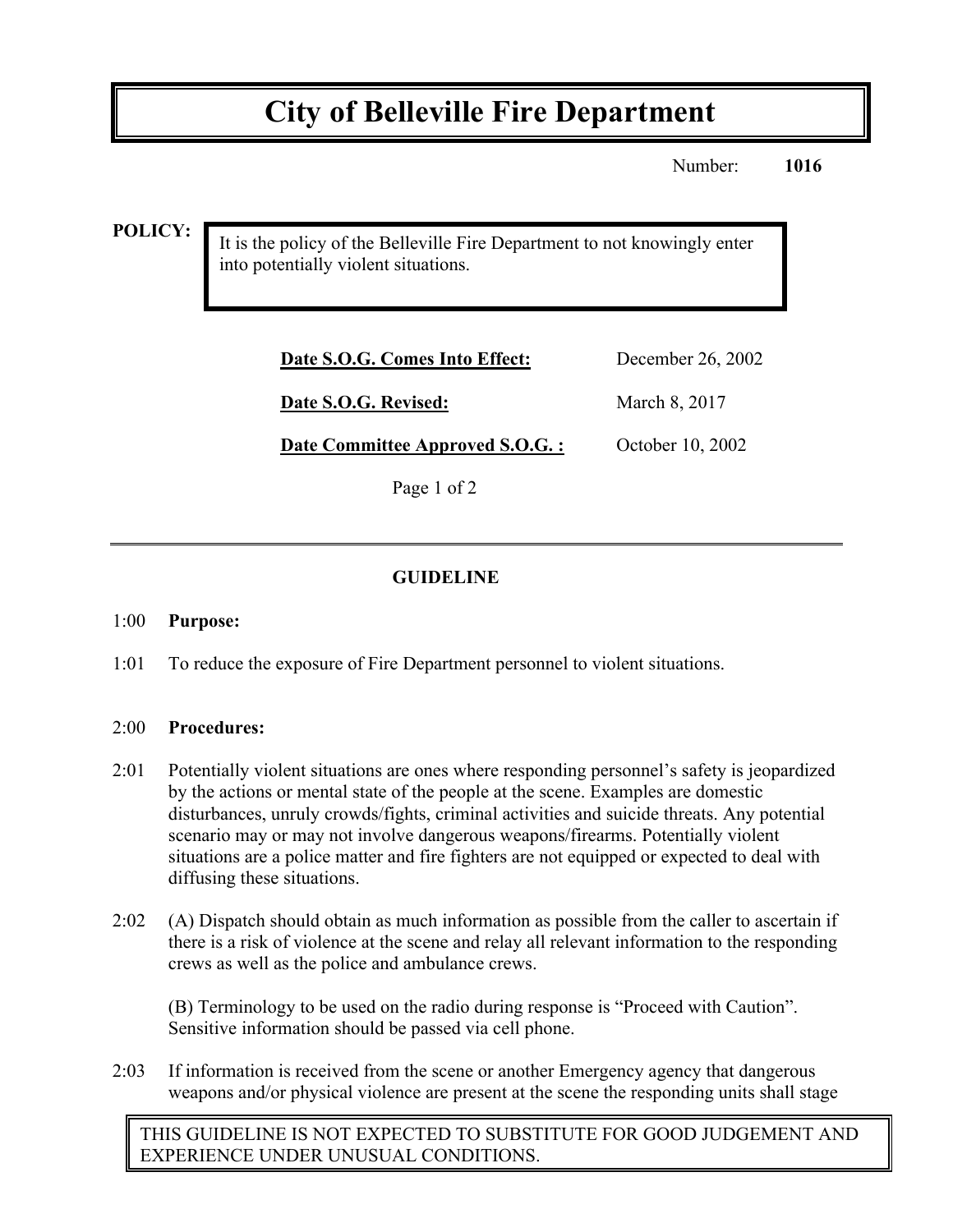# **City of Belleville Fire Department**

Number: **1016**

**POLICY:**

It is the policy of the Belleville Fire Department to not knowingly enter into potentially violent situations.

| Date S.O.G. Comes Into Effect:   | December 26, 2002 |
|----------------------------------|-------------------|
| Date S.O.G. Revised:             | March 8, 2017     |
| Date Committee Approved S.O.G. : | October 10, 2002  |

Page 1 of 2

## **GUIDELINE**

#### 1:00 **Purpose:**

1:01 To reduce the exposure of Fire Department personnel to violent situations.

### 2:00 **Procedures:**

- 2:01 Potentially violent situations are ones where responding personnel's safety is jeopardized by the actions or mental state of the people at the scene. Examples are domestic disturbances, unruly crowds/fights, criminal activities and suicide threats. Any potential scenario may or may not involve dangerous weapons/firearms. Potentially violent situations are a police matter and fire fighters are not equipped or expected to deal with diffusing these situations.
- 2:02 (A) Dispatch should obtain as much information as possible from the caller to ascertain if there is a risk of violence at the scene and relay all relevant information to the responding crews as well as the police and ambulance crews.

(B) Terminology to be used on the radio during response is "Proceed with Caution". Sensitive information should be passed via cell phone.

2:03 If information is received from the scene or another Emergency agency that dangerous weapons and/or physical violence are present at the scene the responding units shall stage

THIS GUIDELINE IS NOT EXPECTED TO SUBSTITUTE FOR GOOD JUDGEMENT AND EXPERIENCE UNDER UNUSUAL CONDITIONS.